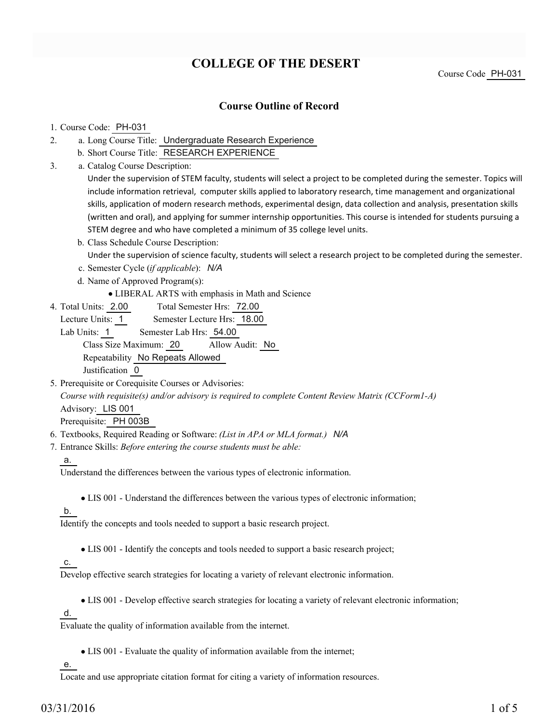# **COLLEGE OF THE DESERT**

Course Code PH-031

## **Course Outline of Record**

#### 1. Course Code: PH-031

- a. Long Course Title: Undergraduate Research Experience 2.
	- b. Short Course Title: RESEARCH EXPERIENCE
- Catalog Course Description: a. 3.

Under the supervision of STEM faculty, students will select a project to be completed during the semester. Topics will include information retrieval, computer skills applied to laboratory research, time management and organizational skills, application of modern research methods, experimental design, data collection and analysis, presentation skills (written and oral), and applying for summer internship opportunities. This course is intended for students pursuing a STEM degree and who have completed a minimum of 35 college level units.

- b. Class Schedule Course Description: Under the supervision of science faculty, students will select a research project to be completed during the semester.
- c. Semester Cycle (*if applicable*): *N/A*
- d. Name of Approved Program(s):
	- LIBERAL ARTS with emphasis in Math and Science
- Total Semester Hrs: 72.00 4. Total Units: 2.00

Lecture Units: 1 Semester Lecture Hrs: 18.00

Lab Units: 1 Semester Lab Hrs: 54.00 Class Size Maximum: 20 Allow Audit: No Repeatability No Repeats Allowed Justification 0

5. Prerequisite or Corequisite Courses or Advisories:

*Course with requisite(s) and/or advisory is required to complete Content Review Matrix (CCForm1-A)* Advisory: LIS 001

Prerequisite: PH 003B

- 6. Textbooks, Required Reading or Software: *(List in APA or MLA format.) N/A*
- Entrance Skills: *Before entering the course students must be able:* 7.

#### a.

Understand the differences between the various types of electronic information.

LIS 001 - Understand the differences between the various types of electronic information;

## b.

Identify the concepts and tools needed to support a basic research project.

LIS 001 - Identify the concepts and tools needed to support a basic research project;

## c.

Develop effective search strategies for locating a variety of relevant electronic information.

LIS 001 - Develop effective search strategies for locating a variety of relevant electronic information;

d.

Evaluate the quality of information available from the internet.

LIS 001 - Evaluate the quality of information available from the internet;

e.

Locate and use appropriate citation format for citing a variety of information resources.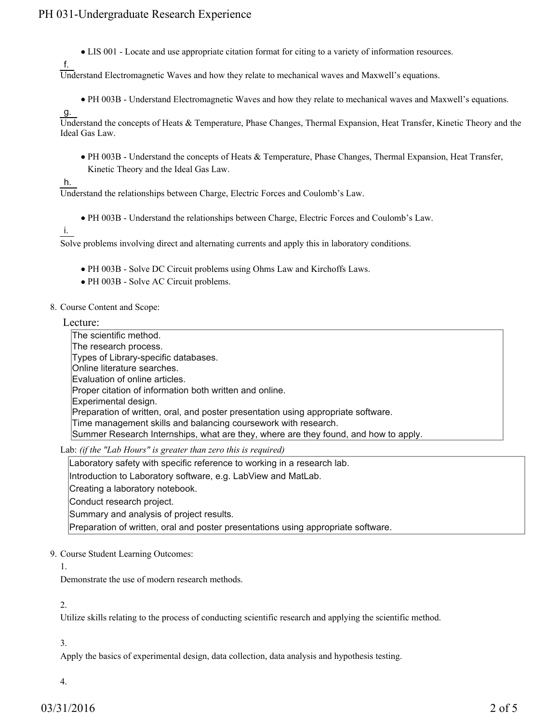LIS 001 - Locate and use appropriate citation format for citing to a variety of information resources.

Understand Electromagnetic Waves and how they relate to mechanical waves and Maxwell's equations.

- PH 003B Understand Electromagnetic Waves and how they relate to mechanical waves and Maxwell's equations.
- g.

f.

Understand the concepts of Heats & Temperature, Phase Changes, Thermal Expansion, Heat Transfer, Kinetic Theory and the Ideal Gas Law.

PH 003B - Understand the concepts of Heats & Temperature, Phase Changes, Thermal Expansion, Heat Transfer, Kinetic Theory and the Ideal Gas Law.

#### h.

Understand the relationships between Charge, Electric Forces and Coulomb's Law.

- PH 003B Understand the relationships between Charge, Electric Forces and Coulomb's Law.
- i.

Solve problems involving direct and alternating currents and apply this in laboratory conditions.

- PH 003B Solve DC Circuit problems using Ohms Law and Kirchoffs Laws.
- PH 003B Solve AC Circuit problems.
- 8. Course Content and Scope:

#### Lecture:

The scientific method. The research process. Types of Library-specific databases. Online literature searches. Evaluation of online articles. Proper citation of information both written and online. Experimental design. Preparation of written, oral, and poster presentation using appropriate software. Time management skills and balancing coursework with research. Summer Research Internships, what are they, where are they found, and how to apply.

Lab: *(if the "Lab Hours" is greater than zero this is required)*

Laboratory safety with specific reference to working in a research lab.

Introduction to Laboratory software, e.g. LabView and MatLab.

Creating a laboratory notebook.

Conduct research project.

Summary and analysis of project results.

Preparation of written, oral and poster presentations using appropriate software.

## 9. Course Student Learning Outcomes:

#### 1.

Demonstrate the use of modern research methods.

#### 2.

Utilize skills relating to the process of conducting scientific research and applying the scientific method.

## 3.

Apply the basics of experimental design, data collection, data analysis and hypothesis testing.

## 4.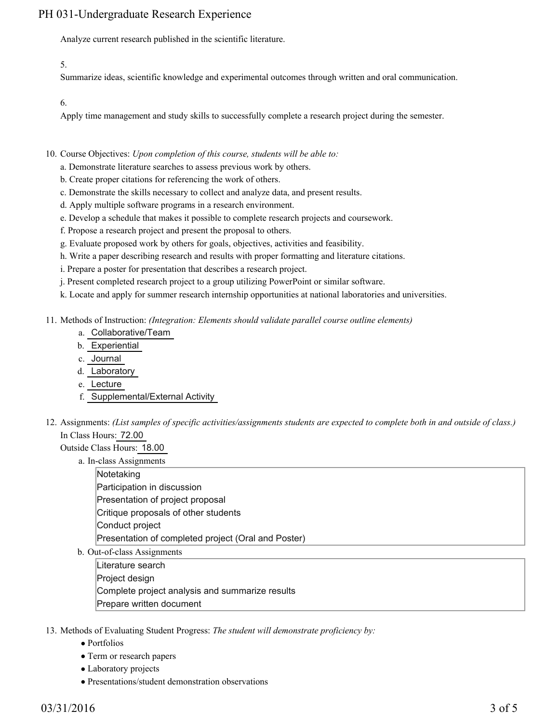# PH 031-Undergraduate Research Experience

Analyze current research published in the scientific literature.

5.

Summarize ideas, scientific knowledge and experimental outcomes through written and oral communication.

6.

Apply time management and study skills to successfully complete a research project during the semester.

- 10. Course Objectives: Upon completion of this course, students will be able to:
	- a. Demonstrate literature searches to assess previous work by others.
	- b. Create proper citations for referencing the work of others.
	- c. Demonstrate the skills necessary to collect and analyze data, and present results.
	- d. Apply multiple software programs in a research environment.
	- e. Develop a schedule that makes it possible to complete research projects and coursework.
	- f. Propose a research project and present the proposal to others.
	- g. Evaluate proposed work by others for goals, objectives, activities and feasibility.
	- h. Write a paper describing research and results with proper formatting and literature citations.
	- i. Prepare a poster for presentation that describes a research project.
	- j. Present completed research project to a group utilizing PowerPoint or similar software.
	- k. Locate and apply for summer research internship opportunities at national laboratories and universities.
- Methods of Instruction: *(Integration: Elements should validate parallel course outline elements)* 11.
	- a. Collaborative/Team
	- b. Experiential
	- c. Journal
	- d. Laboratory
	- e. Lecture
	- f. Supplemental/External Activity
- 12. Assignments: (List samples of specific activities/assignments students are expected to complete both in and outside of class.) In Class Hours: 72.00

Outside Class Hours: 18.00

a. In-class Assignments

**Notetaking** Participation in discussion Presentation of project proposal Critique proposals of other students Conduct project Presentation of completed project (Oral and Poster)

b. Out-of-class Assignments

Literature search Project design Complete project analysis and summarize results Prepare written document

- 13. Methods of Evaluating Student Progress: The student will demonstrate proficiency by:
	- Portfolios
	- Term or research papers
	- Laboratory projects
	- Presentations/student demonstration observations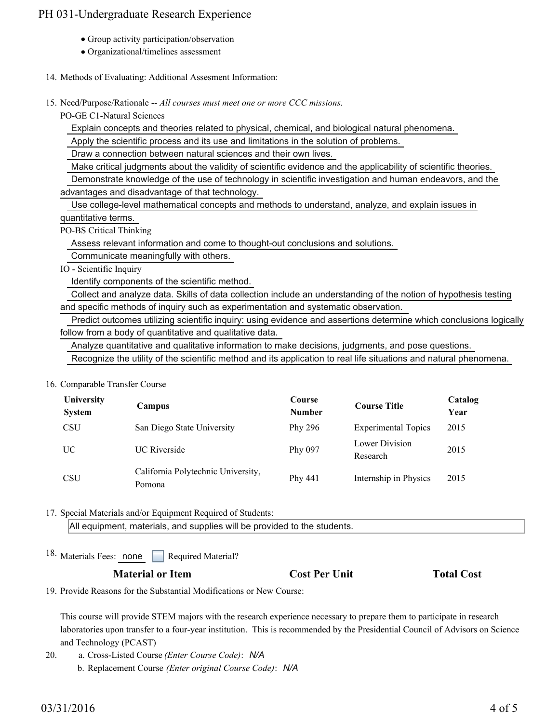## PH 031-Undergraduate Research Experience

- Group activity participation/observation
- Organizational/timelines assessment
- 14. Methods of Evaluating: Additional Assesment Information:
- 15. Need/Purpose/Rationale -- All courses must meet one or more CCC missions.

PO-GE C1-Natural Sciences

Explain concepts and theories related to physical, chemical, and biological natural phenomena.

Apply the scientific process and its use and limitations in the solution of problems.

Draw a connection between natural sciences and their own lives.

Make critical judgments about the validity of scientific evidence and the applicability of scientific theories.

 Demonstrate knowledge of the use of technology in scientific investigation and human endeavors, and the advantages and disadvantage of that technology.

 Use college-level mathematical concepts and methods to understand, analyze, and explain issues in quantitative terms.

PO-BS Critical Thinking

Assess relevant information and come to thought-out conclusions and solutions.

Communicate meaningfully with others.

IO - Scientific Inquiry

Identify components of the scientific method.

 Collect and analyze data. Skills of data collection include an understanding of the notion of hypothesis testing and specific methods of inquiry such as experimentation and systematic observation.

 Predict outcomes utilizing scientific inquiry: using evidence and assertions determine which conclusions logically follow from a body of quantitative and qualitative data.

Analyze quantitative and qualitative information to make decisions, judgments, and pose questions.

Recognize the utility of the scientific method and its application to real life situations and natural phenomena.

16. Comparable Transfer Course

| University<br><b>System</b> | Campus                                       | Course<br><b>Number</b> | <b>Course Title</b>        | Catalog<br>Year |
|-----------------------------|----------------------------------------------|-------------------------|----------------------------|-----------------|
| <b>CSU</b>                  | San Diego State University                   | Phy 296                 | <b>Experimental Topics</b> | 2015            |
| UC.                         | <b>UC</b> Riverside                          | Phy 097                 | Lower Division<br>Research | 2015            |
| <b>CSU</b>                  | California Polytechnic University,<br>Pomona | Phy 441                 | Internship in Physics      | 2015            |

17. Special Materials and/or Equipment Required of Students:

All equipment, materials, and supplies will be provided to the students.

18. Materials Fees: none Required Material?

## **Material or Item Cost Per Unit Total Cost**

19. Provide Reasons for the Substantial Modifications or New Course:

This course will provide STEM majors with the research experience necessary to prepare them to participate in research laboratories upon transfer to a four-year institution. This is recommended by the Presidential Council of Advisors on Science and Technology (PCAST)

- a. Cross-Listed Course *(Enter Course Code)*: *N/A* 20.
	- b. Replacement Course *(Enter original Course Code)*: *N/A*